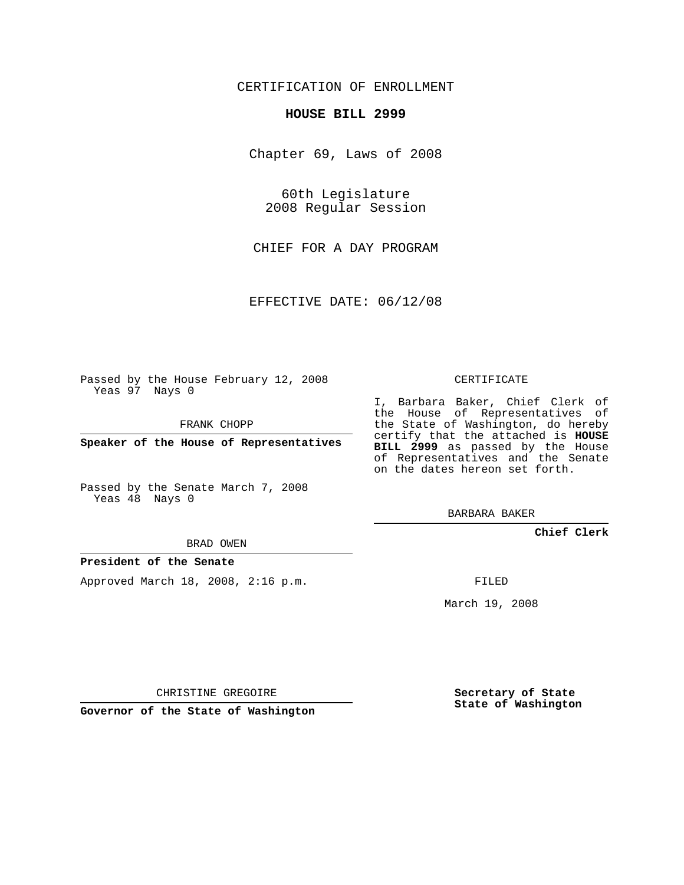# CERTIFICATION OF ENROLLMENT

### **HOUSE BILL 2999**

Chapter 69, Laws of 2008

60th Legislature 2008 Regular Session

CHIEF FOR A DAY PROGRAM

EFFECTIVE DATE: 06/12/08

Passed by the House February 12, 2008 Yeas 97 Nays 0

FRANK CHOPP

**Speaker of the House of Representatives**

Passed by the Senate March 7, 2008 Yeas 48 Nays 0

#### BRAD OWEN

#### **President of the Senate**

Approved March 18, 2008, 2:16 p.m.

CERTIFICATE

I, Barbara Baker, Chief Clerk of the House of Representatives of the State of Washington, do hereby certify that the attached is **HOUSE BILL 2999** as passed by the House of Representatives and the Senate on the dates hereon set forth.

BARBARA BAKER

**Chief Clerk**

FILED

March 19, 2008

CHRISTINE GREGOIRE

**Governor of the State of Washington**

**Secretary of State State of Washington**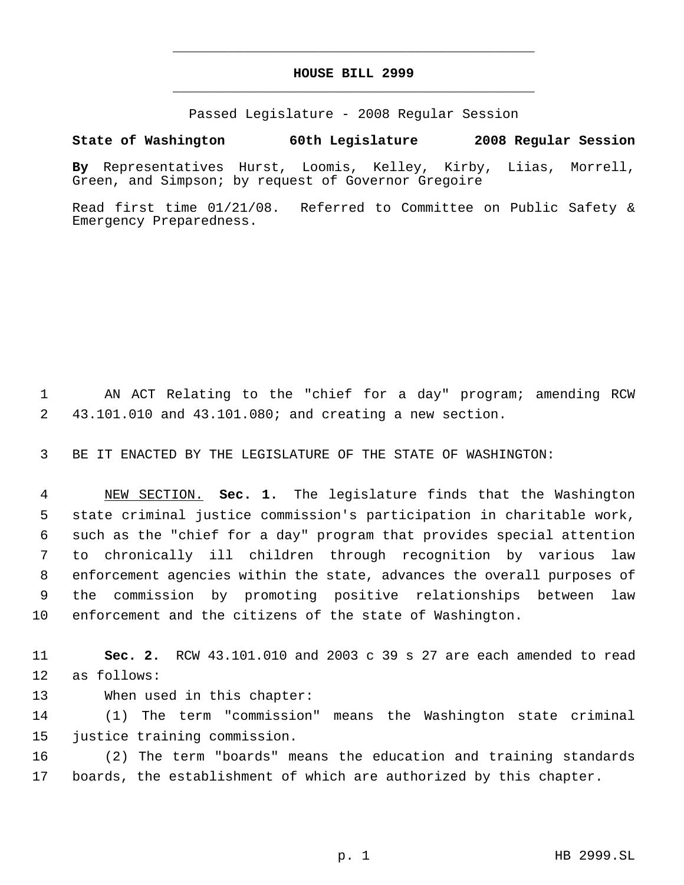# **HOUSE BILL 2999** \_\_\_\_\_\_\_\_\_\_\_\_\_\_\_\_\_\_\_\_\_\_\_\_\_\_\_\_\_\_\_\_\_\_\_\_\_\_\_\_\_\_\_\_\_

\_\_\_\_\_\_\_\_\_\_\_\_\_\_\_\_\_\_\_\_\_\_\_\_\_\_\_\_\_\_\_\_\_\_\_\_\_\_\_\_\_\_\_\_\_

Passed Legislature - 2008 Regular Session

## **State of Washington 60th Legislature 2008 Regular Session**

**By** Representatives Hurst, Loomis, Kelley, Kirby, Liias, Morrell, Green, and Simpson; by request of Governor Gregoire

Read first time 01/21/08. Referred to Committee on Public Safety & Emergency Preparedness.

 AN ACT Relating to the "chief for a day" program; amending RCW 43.101.010 and 43.101.080; and creating a new section.

BE IT ENACTED BY THE LEGISLATURE OF THE STATE OF WASHINGTON:

 NEW SECTION. **Sec. 1.** The legislature finds that the Washington state criminal justice commission's participation in charitable work, such as the "chief for a day" program that provides special attention to chronically ill children through recognition by various law enforcement agencies within the state, advances the overall purposes of the commission by promoting positive relationships between law enforcement and the citizens of the state of Washington.

 **Sec. 2.** RCW 43.101.010 and 2003 c 39 s 27 are each amended to read as follows:

When used in this chapter:

 (1) The term "commission" means the Washington state criminal justice training commission.

 (2) The term "boards" means the education and training standards boards, the establishment of which are authorized by this chapter.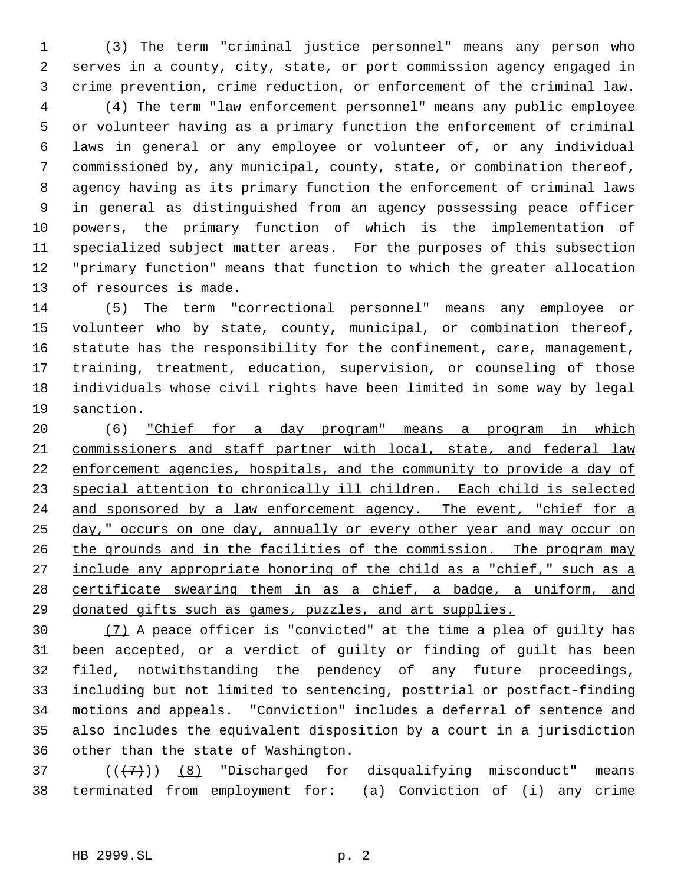(3) The term "criminal justice personnel" means any person who serves in a county, city, state, or port commission agency engaged in crime prevention, crime reduction, or enforcement of the criminal law.

 (4) The term "law enforcement personnel" means any public employee or volunteer having as a primary function the enforcement of criminal laws in general or any employee or volunteer of, or any individual commissioned by, any municipal, county, state, or combination thereof, agency having as its primary function the enforcement of criminal laws in general as distinguished from an agency possessing peace officer powers, the primary function of which is the implementation of specialized subject matter areas. For the purposes of this subsection "primary function" means that function to which the greater allocation of resources is made.

 (5) The term "correctional personnel" means any employee or volunteer who by state, county, municipal, or combination thereof, statute has the responsibility for the confinement, care, management, training, treatment, education, supervision, or counseling of those individuals whose civil rights have been limited in some way by legal sanction.

 (6) "Chief for a day program" means a program in which commissioners and staff partner with local, state, and federal law 22 enforcement agencies, hospitals, and the community to provide a day of special attention to chronically ill children. Each child is selected 24 and sponsored by a law enforcement agency. The event, "chief for a 25 day," occurs on one day, annually or every other year and may occur on 26 the grounds and in the facilities of the commission. The program may 27 include any appropriate honoring of the child as a "chief," such as a 28 certificate swearing them in as a chief, a badge, a uniform, and donated gifts such as games, puzzles, and art supplies.

 (7) A peace officer is "convicted" at the time a plea of guilty has been accepted, or a verdict of guilty or finding of guilt has been filed, notwithstanding the pendency of any future proceedings, including but not limited to sentencing, posttrial or postfact-finding motions and appeals. "Conviction" includes a deferral of sentence and also includes the equivalent disposition by a court in a jurisdiction other than the state of Washington.

37  $((+7)^{n})$  (8) "Discharged for disqualifying misconduct" means terminated from employment for: (a) Conviction of (i) any crime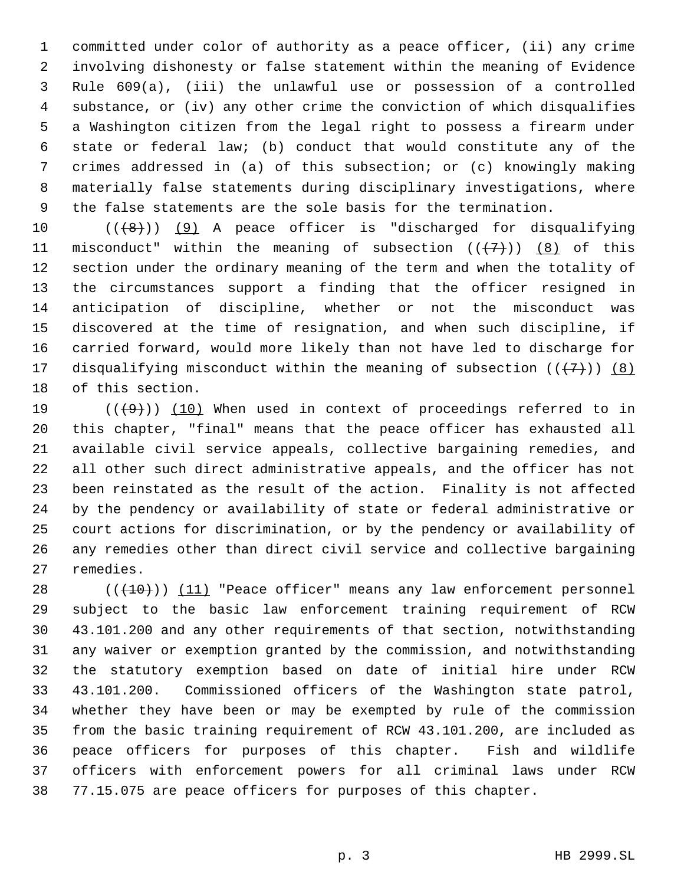committed under color of authority as a peace officer, (ii) any crime involving dishonesty or false statement within the meaning of Evidence Rule 609(a), (iii) the unlawful use or possession of a controlled substance, or (iv) any other crime the conviction of which disqualifies a Washington citizen from the legal right to possess a firearm under state or federal law; (b) conduct that would constitute any of the crimes addressed in (a) of this subsection; or (c) knowingly making materially false statements during disciplinary investigations, where the false statements are the sole basis for the termination.

 $((\{8\})$  (9) A peace officer is "discharged for disqualifying 11 misconduct" within the meaning of subsection  $((+7))$   $(8)$  of this section under the ordinary meaning of the term and when the totality of the circumstances support a finding that the officer resigned in anticipation of discipline, whether or not the misconduct was discovered at the time of resignation, and when such discipline, if carried forward, would more likely than not have led to discharge for 17 disqualifying misconduct within the meaning of subsection  $((+7))$  (8) of this section.

 $((+9))$   $(10)$  When used in context of proceedings referred to in this chapter, "final" means that the peace officer has exhausted all available civil service appeals, collective bargaining remedies, and all other such direct administrative appeals, and the officer has not been reinstated as the result of the action. Finality is not affected by the pendency or availability of state or federal administrative or court actions for discrimination, or by the pendency or availability of any remedies other than direct civil service and collective bargaining remedies.

 $((+10))$   $(11)$  "Peace officer" means any law enforcement personnel subject to the basic law enforcement training requirement of RCW 43.101.200 and any other requirements of that section, notwithstanding any waiver or exemption granted by the commission, and notwithstanding the statutory exemption based on date of initial hire under RCW 43.101.200. Commissioned officers of the Washington state patrol, whether they have been or may be exempted by rule of the commission from the basic training requirement of RCW 43.101.200, are included as peace officers for purposes of this chapter. Fish and wildlife officers with enforcement powers for all criminal laws under RCW 77.15.075 are peace officers for purposes of this chapter.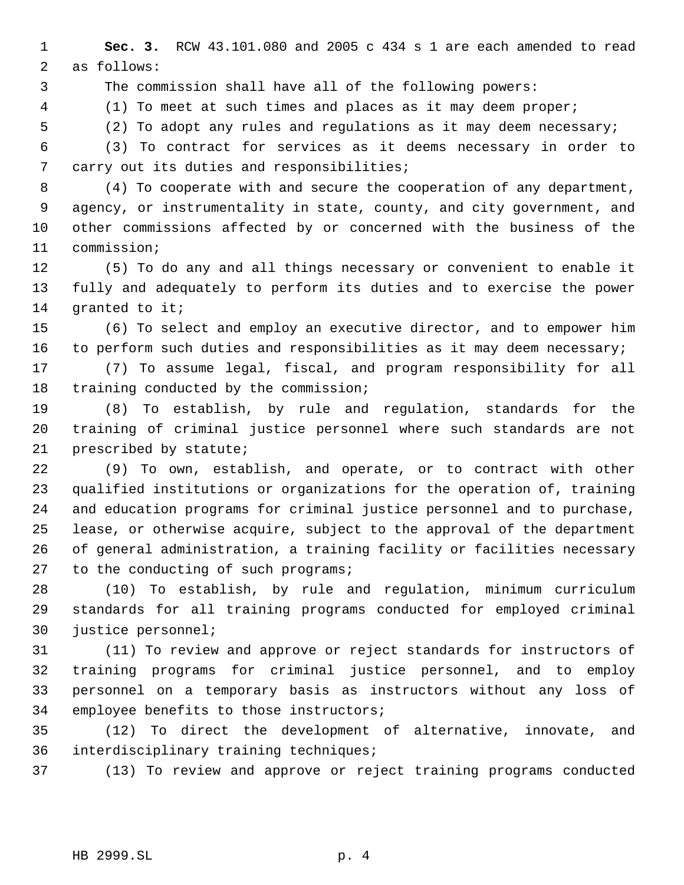**Sec. 3.** RCW 43.101.080 and 2005 c 434 s 1 are each amended to read as follows:

The commission shall have all of the following powers:

(1) To meet at such times and places as it may deem proper;

(2) To adopt any rules and regulations as it may deem necessary;

 (3) To contract for services as it deems necessary in order to carry out its duties and responsibilities;

 (4) To cooperate with and secure the cooperation of any department, agency, or instrumentality in state, county, and city government, and other commissions affected by or concerned with the business of the commission;

 (5) To do any and all things necessary or convenient to enable it fully and adequately to perform its duties and to exercise the power 14 granted to it;

 (6) To select and employ an executive director, and to empower him to perform such duties and responsibilities as it may deem necessary;

 (7) To assume legal, fiscal, and program responsibility for all training conducted by the commission;

 (8) To establish, by rule and regulation, standards for the training of criminal justice personnel where such standards are not prescribed by statute;

 (9) To own, establish, and operate, or to contract with other qualified institutions or organizations for the operation of, training and education programs for criminal justice personnel and to purchase, lease, or otherwise acquire, subject to the approval of the department of general administration, a training facility or facilities necessary 27 to the conducting of such programs;

 (10) To establish, by rule and regulation, minimum curriculum standards for all training programs conducted for employed criminal justice personnel;

 (11) To review and approve or reject standards for instructors of training programs for criminal justice personnel, and to employ personnel on a temporary basis as instructors without any loss of employee benefits to those instructors;

 (12) To direct the development of alternative, innovate, and interdisciplinary training techniques;

(13) To review and approve or reject training programs conducted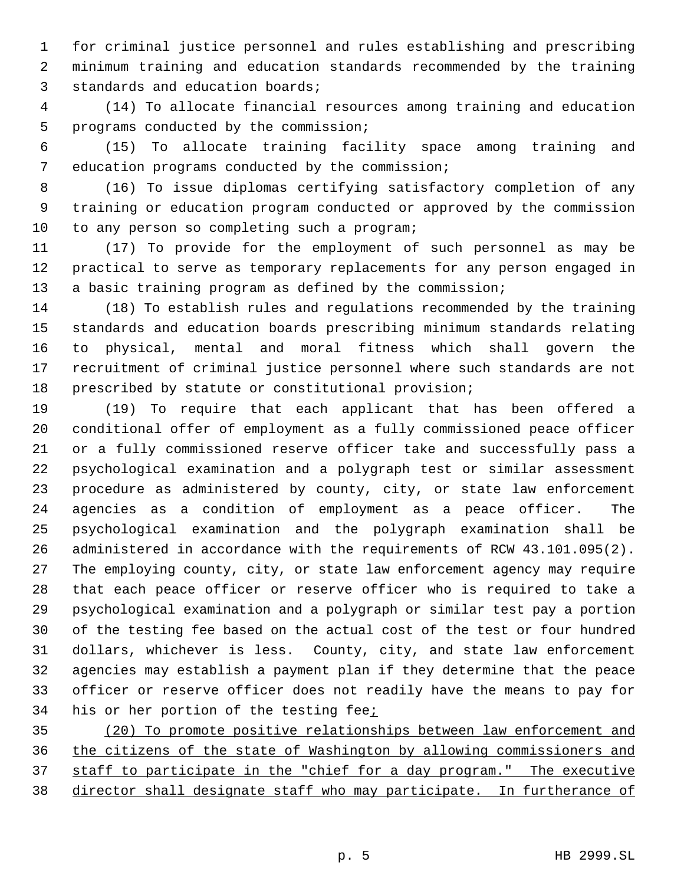for criminal justice personnel and rules establishing and prescribing minimum training and education standards recommended by the training standards and education boards;

 (14) To allocate financial resources among training and education programs conducted by the commission;

 (15) To allocate training facility space among training and education programs conducted by the commission;

 (16) To issue diplomas certifying satisfactory completion of any training or education program conducted or approved by the commission 10 to any person so completing such a program;

 (17) To provide for the employment of such personnel as may be practical to serve as temporary replacements for any person engaged in a basic training program as defined by the commission;

 (18) To establish rules and regulations recommended by the training standards and education boards prescribing minimum standards relating to physical, mental and moral fitness which shall govern the recruitment of criminal justice personnel where such standards are not prescribed by statute or constitutional provision;

 (19) To require that each applicant that has been offered a conditional offer of employment as a fully commissioned peace officer or a fully commissioned reserve officer take and successfully pass a psychological examination and a polygraph test or similar assessment procedure as administered by county, city, or state law enforcement agencies as a condition of employment as a peace officer. The psychological examination and the polygraph examination shall be administered in accordance with the requirements of RCW 43.101.095(2). The employing county, city, or state law enforcement agency may require that each peace officer or reserve officer who is required to take a psychological examination and a polygraph or similar test pay a portion of the testing fee based on the actual cost of the test or four hundred dollars, whichever is less. County, city, and state law enforcement agencies may establish a payment plan if they determine that the peace officer or reserve officer does not readily have the means to pay for 34 his or her portion of the testing fee;

 (20) To promote positive relationships between law enforcement and the citizens of the state of Washington by allowing commissioners and staff to participate in the "chief for a day program." The executive director shall designate staff who may participate. In furtherance of